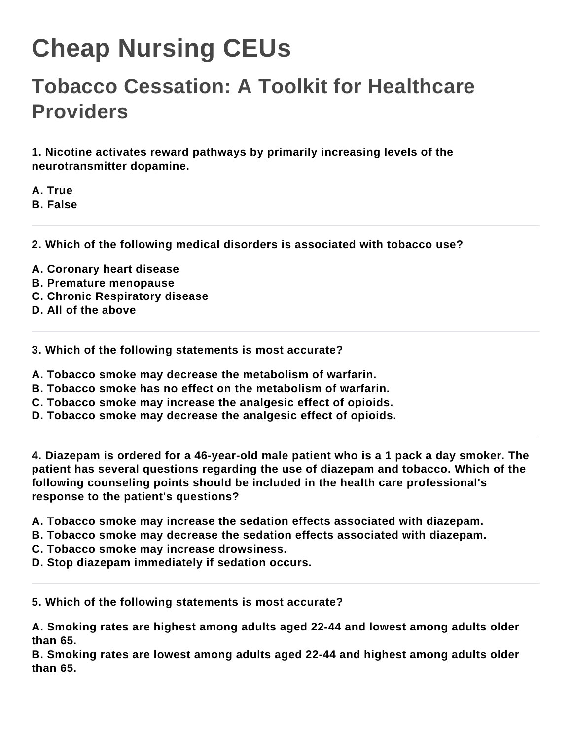## **Cheap Nursing CEUs**

## **Tobacco Cessation: A Toolkit for Healthcare Providers**

**1. Nicotine activates reward pathways by primarily increasing levels of the neurotransmitter dopamine.**

**A. True B. False**

**2. Which of the following medical disorders is associated with tobacco use?**

- **A. Coronary heart disease**
- **B. Premature menopause**
- **C. Chronic Respiratory disease**
- **D. All of the above**

**3. Which of the following statements is most accurate?**

**A. Tobacco smoke may decrease the metabolism of warfarin.**

- **B. Tobacco smoke has no effect on the metabolism of warfarin.**
- **C. Tobacco smoke may increase the analgesic effect of opioids.**
- **D. Tobacco smoke may decrease the analgesic effect of opioids.**

**4. Diazepam is ordered for a 46-year-old male patient who is a 1 pack a day smoker. The patient has several questions regarding the use of diazepam and tobacco. Which of the following counseling points should be included in the health care professional's response to the patient's questions?**

- **A. Tobacco smoke may increase the sedation effects associated with diazepam.**
- **B. Tobacco smoke may decrease the sedation effects associated with diazepam.**
- **C. Tobacco smoke may increase drowsiness.**
- **D. Stop diazepam immediately if sedation occurs.**

**5. Which of the following statements is most accurate?**

**A. Smoking rates are highest among adults aged 22-44 and lowest among adults older than 65.**

**B. Smoking rates are lowest among adults aged 22-44 and highest among adults older than 65.**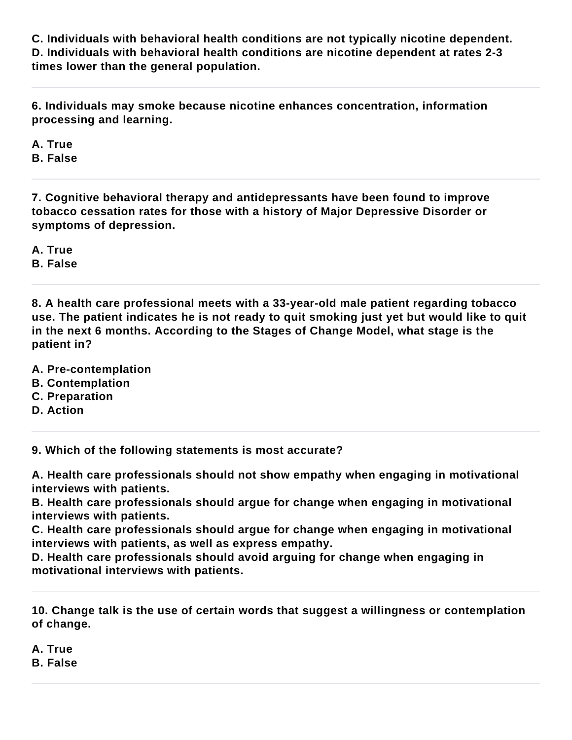**C. Individuals with behavioral health conditions are not typically nicotine dependent. D. Individuals with behavioral health conditions are nicotine dependent at rates 2-3 times lower than the general population.**

**6. Individuals may smoke because nicotine enhances concentration, information processing and learning.**

**A. True**

**B. False**

**7. Cognitive behavioral therapy and antidepressants have been found to improve tobacco cessation rates for those with a history of Major Depressive Disorder or symptoms of depression.**

**A. True B. False**

**8. A health care professional meets with a 33-year-old male patient regarding tobacco use. The patient indicates he is not ready to quit smoking just yet but would like to quit in the next 6 months. According to the Stages of Change Model, what stage is the patient in?**

**A. Pre-contemplation**

- **B. Contemplation**
- **C. Preparation**
- **D. Action**

**9. Which of the following statements is most accurate?**

**A. Health care professionals should not show empathy when engaging in motivational interviews with patients.**

**B. Health care professionals should argue for change when engaging in motivational interviews with patients.**

**C. Health care professionals should argue for change when engaging in motivational interviews with patients, as well as express empathy.**

**D. Health care professionals should avoid arguing for change when engaging in motivational interviews with patients.**

**10. Change talk is the use of certain words that suggest a willingness or contemplation of change.**

**A. True**

**B. False**